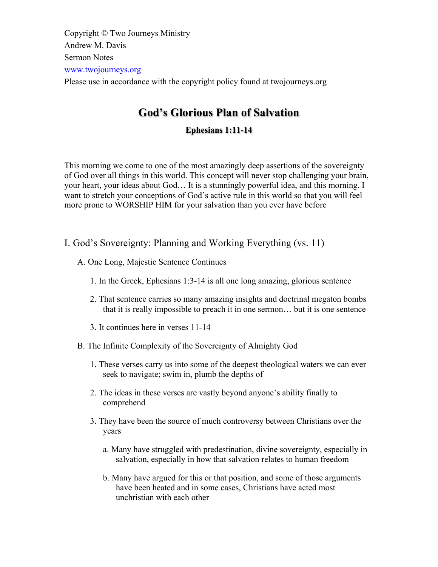Copyright © Two Journeys Ministry Andrew M. Davis Sermon Notes www.twojourneys.org Please use in accordance with the copyright policy found at twojourneys.org

# **God's Glorious Plan of Salvation**

# **Ephesians 1:11-14**

This morning we come to one of the most amazingly deep assertions of the sovereignty of God over all things in this world. This concept will never stop challenging your brain, your heart, your ideas about God… It is a stunningly powerful idea, and this morning, I want to stretch your conceptions of God's active rule in this world so that you will feel more prone to WORSHIP HIM for your salvation than you ever have before

- I. God's Sovereignty: Planning and Working Everything (vs. 11)
	- A. One Long, Majestic Sentence Continues
		- 1. In the Greek, Ephesians 1:3-14 is all one long amazing, glorious sentence
		- 2. That sentence carries so many amazing insights and doctrinal megaton bombs that it is really impossible to preach it in one sermon… but it is one sentence
		- 3. It continues here in verses 11-14
	- B. The Infinite Complexity of the Sovereignty of Almighty God
		- 1. These verses carry us into some of the deepest theological waters we can ever seek to navigate; swim in, plumb the depths of
		- 2. The ideas in these verses are vastly beyond anyone's ability finally to comprehend
		- 3. They have been the source of much controversy between Christians over the years
			- a. Many have struggled with predestination, divine sovereignty, especially in salvation, especially in how that salvation relates to human freedom
			- b. Many have argued for this or that position, and some of those arguments have been heated and in some cases, Christians have acted most unchristian with each other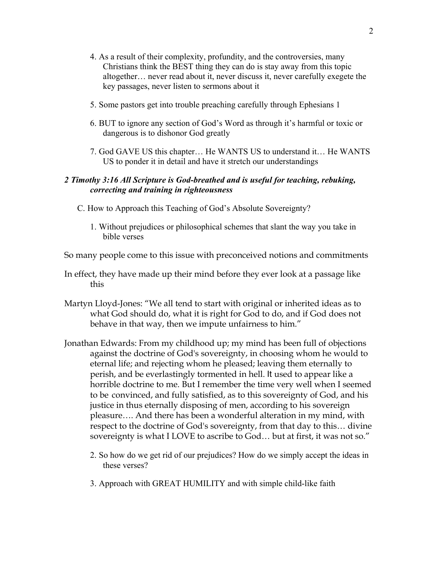- 4. As a result of their complexity, profundity, and the controversies, many Christians think the BEST thing they can do is stay away from this topic altogether… never read about it, never discuss it, never carefully exegete the key passages, never listen to sermons about it
- 5. Some pastors get into trouble preaching carefully through Ephesians 1
- 6. BUT to ignore any section of God's Word as through it's harmful or toxic or dangerous is to dishonor God greatly
- 7. God GAVE US this chapter… He WANTS US to understand it… He WANTS US to ponder it in detail and have it stretch our understandings

### *2 Timothy 3:16 All Scripture is God-breathed and is useful for teaching, rebuking, correcting and training in righteousness*

C. How to Approach this Teaching of God's Absolute Sovereignty?

- 1. Without prejudices or philosophical schemes that slant the way you take in bible verses
- So many people come to this issue with preconceived notions and commitments
- In effect, they have made up their mind before they ever look at a passage like this
- Martyn Lloyd-Jones: "We all tend to start with original or inherited ideas as to what God should do, what it is right for God to do, and if God does not behave in that way, then we impute unfairness to him."
- Jonathan Edwards: From my childhood up; my mind has been full of objections against the doctrine of God's sovereignty, in choosing whom he would to eternal life; and rejecting whom he pleased; leaving them eternally to perish, and be everlastingly tormented in hell. It used to appear like a horrible doctrine to me. But I remember the time very well when I seemed to be convinced, and fully satisfied, as to this sovereignty of God, and his justice in thus eternally disposing of men, according to his sovereign pleasure…. And there has been a wonderful alteration in my mind, with respect to the doctrine of God's sovereignty, from that day to this… divine sovereignty is what I LOVE to ascribe to God… but at first, it was not so."
	- 2. So how do we get rid of our prejudices? How do we simply accept the ideas in these verses?
	- 3. Approach with GREAT HUMILITY and with simple child-like faith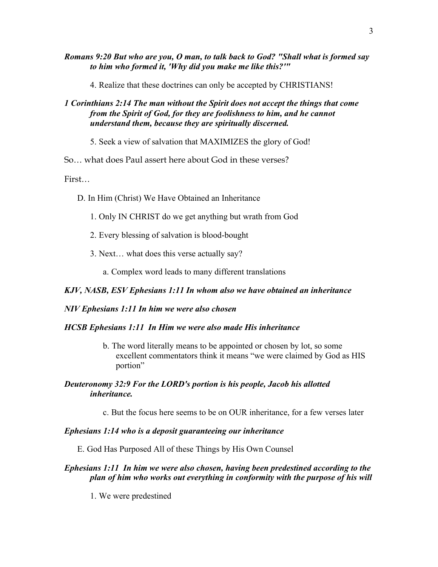*Romans 9:20 But who are you, O man, to talk back to God? "Shall what is formed say to him who formed it, 'Why did you make me like this?'"*

4. Realize that these doctrines can only be accepted by CHRISTIANS!

# *1 Corinthians 2:14 The man without the Spirit does not accept the things that come from the Spirit of God, for they are foolishness to him, and he cannot understand them, because they are spiritually discerned.*

5. Seek a view of salvation that MAXIMIZES the glory of God!

So… what does Paul assert here about God in these verses?

First…

- D. In Him (Christ) We Have Obtained an Inheritance
	- 1. Only IN CHRIST do we get anything but wrath from God
	- 2. Every blessing of salvation is blood-bought
	- 3. Next… what does this verse actually say?
		- a. Complex word leads to many different translations

# *KJV, NASB, ESV Ephesians 1:11 In whom also we have obtained an inheritance*

## *NIV Ephesians 1:11 In him we were also chosen*

## *HCSB Ephesians 1:11 In Him we were also made His inheritance*

b. The word literally means to be appointed or chosen by lot, so some excellent commentators think it means "we were claimed by God as HIS portion"

# *Deuteronomy 32:9 For the LORD's portion is his people, Jacob his allotted inheritance.*

c. But the focus here seems to be on OUR inheritance, for a few verses later

## *Ephesians 1:14 who is a deposit guaranteeing our inheritance*

E. God Has Purposed All of these Things by His Own Counsel

# *Ephesians 1:11 In him we were also chosen, having been predestined according to the plan of him who works out everything in conformity with the purpose of his will*

1. We were predestined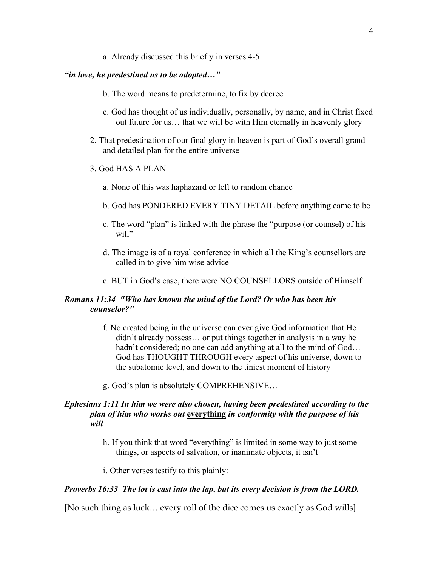a. Already discussed this briefly in verses 4-5

### *"in love, he predestined us to be adopted…"*

- b. The word means to predetermine, to fix by decree
- c. God has thought of us individually, personally, by name, and in Christ fixed out future for us… that we will be with Him eternally in heavenly glory
- 2. That predestination of our final glory in heaven is part of God's overall grand and detailed plan for the entire universe
- 3. God HAS A PLAN
	- a. None of this was haphazard or left to random chance
	- b. God has PONDERED EVERY TINY DETAIL before anything came to be
	- c. The word "plan" is linked with the phrase the "purpose (or counsel) of his will"
	- d. The image is of a royal conference in which all the King's counsellors are called in to give him wise advice
	- e. BUT in God's case, there were NO COUNSELLORS outside of Himself

# *Romans 11:34 "Who has known the mind of the Lord? Or who has been his counselor?"*

- f. No created being in the universe can ever give God information that He didn't already possess… or put things together in analysis in a way he hadn't considered; no one can add anything at all to the mind of God... God has THOUGHT THROUGH every aspect of his universe, down to the subatomic level, and down to the tiniest moment of history
- g. God's plan is absolutely COMPREHENSIVE…

# *Ephesians 1:11 In him we were also chosen, having been predestined according to the plan of him who works out* **everything** *in conformity with the purpose of his will*

- h. If you think that word "everything" is limited in some way to just some things, or aspects of salvation, or inanimate objects, it isn't
- i. Other verses testify to this plainly:

#### *Proverbs 16:33 The lot is cast into the lap, but its every decision is from the LORD.*

[No such thing as luck… every roll of the dice comes us exactly as God wills]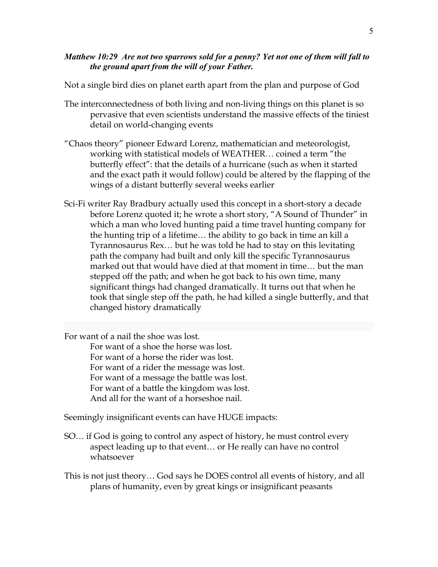# *Matthew 10:29 Are not two sparrows sold for a penny? Yet not one of them will fall to the ground apart from the will of your Father.*

Not a single bird dies on planet earth apart from the plan and purpose of God

- The interconnectedness of both living and non-living things on this planet is so pervasive that even scientists understand the massive effects of the tiniest detail on world-changing events
- "Chaos theory" pioneer Edward Lorenz, mathematician and meteorologist, working with statistical models of WEATHER… coined a term "the butterfly effect": that the details of a hurricane (such as when it started and the exact path it would follow) could be altered by the flapping of the wings of a distant butterfly several weeks earlier
- Sci-Fi writer Ray Bradbury actually used this concept in a short-story a decade before Lorenz quoted it; he wrote a short story, "A Sound of Thunder" in which a man who loved hunting paid a time travel hunting company for the hunting trip of a lifetime… the ability to go back in time an kill a Tyrannosaurus Rex… but he was told he had to stay on this levitating path the company had built and only kill the specific Tyrannosaurus marked out that would have died at that moment in time… but the man stepped off the path; and when he got back to his own time, many significant things had changed dramatically. It turns out that when he took that single step off the path, he had killed a single butterfly, and that changed history dramatically

For want of a nail the shoe was lost.

For want of a shoe the horse was lost. For want of a horse the rider was lost. For want of a rider the message was lost. For want of a message the battle was lost. For want of a battle the kingdom was lost. And all for the want of a horseshoe nail.

Seemingly insignificant events can have HUGE impacts:

- SO… if God is going to control any aspect of history, he must control every aspect leading up to that event… or He really can have no control whatsoever
- This is not just theory… God says he DOES control all events of history, and all plans of humanity, even by great kings or insignificant peasants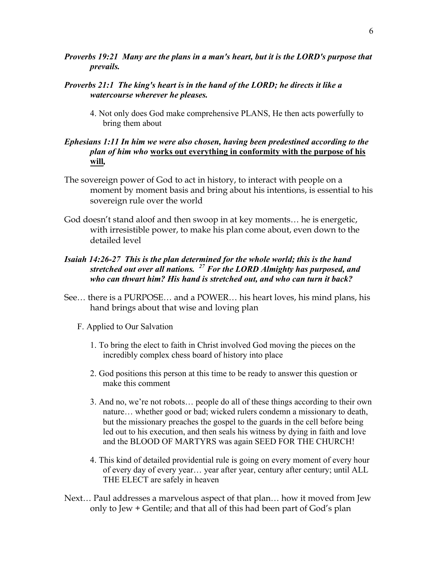- *Proverbs 19:21 Many are the plans in a man's heart, but it is the LORD's purpose that prevails.*
- *Proverbs 21:1 The king's heart is in the hand of the LORD; he directs it like a watercourse wherever he pleases.*
	- 4. Not only does God make comprehensive PLANS, He then acts powerfully to bring them about
- *Ephesians 1:11 In him we were also chosen, having been predestined according to the plan of him who* **works out everything in conformity with the purpose of his will***,*
- The sovereign power of God to act in history, to interact with people on a moment by moment basis and bring about his intentions, is essential to his sovereign rule over the world
- God doesn't stand aloof and then swoop in at key moments… he is energetic, with irresistible power, to make his plan come about, even down to the detailed level
- *Isaiah 14:26-27 This is the plan determined for the whole world; this is the hand stretched out over all nations. <sup>27</sup> For the LORD Almighty has purposed, and who can thwart him? His hand is stretched out, and who can turn it back?*
- See… there is a PURPOSE… and a POWER… his heart loves, his mind plans, his hand brings about that wise and loving plan
	- F. Applied to Our Salvation
		- 1. To bring the elect to faith in Christ involved God moving the pieces on the incredibly complex chess board of history into place
		- 2. God positions this person at this time to be ready to answer this question or make this comment
		- 3. And no, we're not robots… people do all of these things according to their own nature… whether good or bad; wicked rulers condemn a missionary to death, but the missionary preaches the gospel to the guards in the cell before being led out to his execution, and then seals his witness by dying in faith and love and the BLOOD OF MARTYRS was again SEED FOR THE CHURCH!
		- 4. This kind of detailed providential rule is going on every moment of every hour of every day of every year… year after year, century after century; until ALL THE ELECT are safely in heaven
- Next… Paul addresses a marvelous aspect of that plan… how it moved from Jew only to Jew + Gentile; and that all of this had been part of God's plan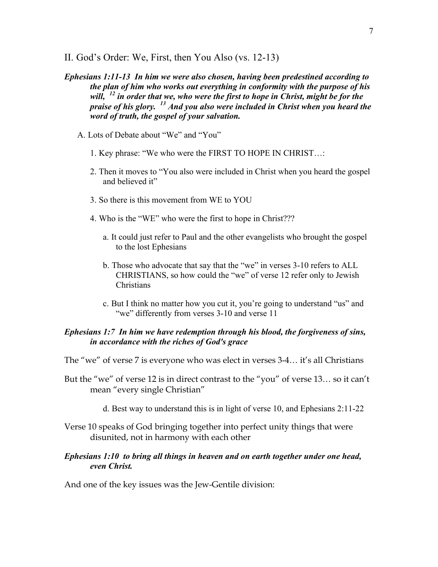- II. God's Order: We, First, then You Also (vs. 12-13)
- *Ephesians 1:11-13 In him we were also chosen, having been predestined according to the plan of him who works out everything in conformity with the purpose of his will, <sup>12</sup> in order that we, who were the first to hope in Christ, might be for the praise of his glory. <sup>13</sup> And you also were included in Christ when you heard the word of truth, the gospel of your salvation.*
	- A. Lots of Debate about "We" and "You"
		- 1. Key phrase: "We who were the FIRST TO HOPE IN CHRIST…:
		- 2. Then it moves to "You also were included in Christ when you heard the gospel and believed it"
		- 3. So there is this movement from WE to YOU
		- 4. Who is the "WE" who were the first to hope in Christ???
			- a. It could just refer to Paul and the other evangelists who brought the gospel to the lost Ephesians
			- b. Those who advocate that say that the "we" in verses 3-10 refers to ALL CHRISTIANS, so how could the "we" of verse 12 refer only to Jewish **Christians**
			- c. But I think no matter how you cut it, you're going to understand "us" and "we" differently from verses 3-10 and verse 11

# *Ephesians 1:7 In him we have redemption through his blood, the forgiveness of sins, in accordance with the riches of God's grace*

The "we" of verse 7 is everyone who was elect in verses 3-4… it's all Christians

- But the "we" of verse 12 is in direct contrast to the "you" of verse 13… so it can't mean "every single Christian"
	- d. Best way to understand this is in light of verse 10, and Ephesians 2:11-22
- Verse 10 speaks of God bringing together into perfect unity things that were disunited, not in harmony with each other

### *Ephesians 1:10 to bring all things in heaven and on earth together under one head, even Christ.*

And one of the key issues was the Jew-Gentile division: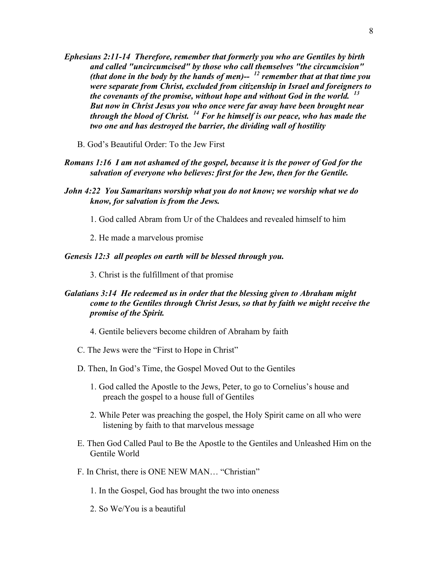- *Ephesians 2:11-14 Therefore, remember that formerly you who are Gentiles by birth and called "uncircumcised" by those who call themselves "the circumcision" (that done in the body by the hands of men)-- <sup>12</sup> remember that at that time you were separate from Christ, excluded from citizenship in Israel and foreigners to the covenants of the promise, without hope and without God in the world. <sup>13</sup> But now in Christ Jesus you who once were far away have been brought near through the blood of Christ. <sup>14</sup> For he himself is our peace, who has made the two one and has destroyed the barrier, the dividing wall of hostility*
	- B. God's Beautiful Order: To the Jew First
- *Romans 1:16 I am not ashamed of the gospel, because it is the power of God for the salvation of everyone who believes: first for the Jew, then for the Gentile.*
- *John 4:22 You Samaritans worship what you do not know; we worship what we do know, for salvation is from the Jews.*
	- 1. God called Abram from Ur of the Chaldees and revealed himself to him
	- 2. He made a marvelous promise

#### *Genesis 12:3 all peoples on earth will be blessed through you.*

3. Christ is the fulfillment of that promise

# *Galatians 3:14 He redeemed us in order that the blessing given to Abraham might come to the Gentiles through Christ Jesus, so that by faith we might receive the promise of the Spirit.*

- 4. Gentile believers become children of Abraham by faith
- C. The Jews were the "First to Hope in Christ"
- D. Then, In God's Time, the Gospel Moved Out to the Gentiles
	- 1. God called the Apostle to the Jews, Peter, to go to Cornelius's house and preach the gospel to a house full of Gentiles
	- 2. While Peter was preaching the gospel, the Holy Spirit came on all who were listening by faith to that marvelous message
- E. Then God Called Paul to Be the Apostle to the Gentiles and Unleashed Him on the Gentile World
- F. In Christ, there is ONE NEW MAN… "Christian"
	- 1. In the Gospel, God has brought the two into oneness
	- 2. So We/You is a beautiful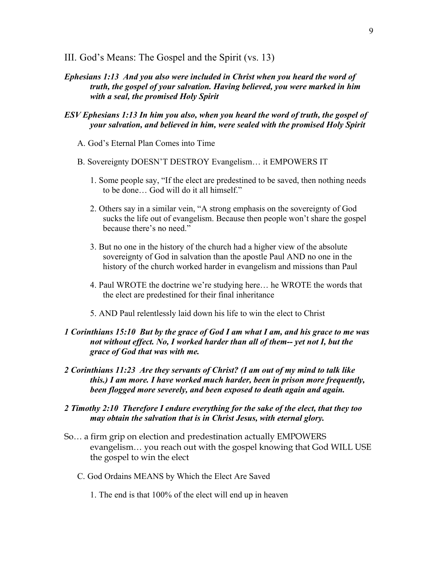- III. God's Means: The Gospel and the Spirit (vs. 13)
- *Ephesians 1:13 And you also were included in Christ when you heard the word of truth, the gospel of your salvation. Having believed, you were marked in him with a seal, the promised Holy Spirit*
- *ESV Ephesians 1:13 In him you also, when you heard the word of truth, the gospel of your salvation, and believed in him, were sealed with the promised Holy Spirit*
	- A. God's Eternal Plan Comes into Time
	- B. Sovereignty DOESN'T DESTROY Evangelism… it EMPOWERS IT
		- 1. Some people say, "If the elect are predestined to be saved, then nothing needs to be done… God will do it all himself."
		- 2. Others say in a similar vein, "A strong emphasis on the sovereignty of God sucks the life out of evangelism. Because then people won't share the gospel because there's no need."
		- 3. But no one in the history of the church had a higher view of the absolute sovereignty of God in salvation than the apostle Paul AND no one in the history of the church worked harder in evangelism and missions than Paul
		- 4. Paul WROTE the doctrine we're studying here… he WROTE the words that the elect are predestined for their final inheritance
		- 5. AND Paul relentlessly laid down his life to win the elect to Christ
- *1 Corinthians 15:10 But by the grace of God I am what I am, and his grace to me was not without effect. No, I worked harder than all of them-- yet not I, but the grace of God that was with me.*
- *2 Corinthians 11:23 Are they servants of Christ? (I am out of my mind to talk like this.) I am more. I have worked much harder, been in prison more frequently, been flogged more severely, and been exposed to death again and again.*
- *2 Timothy 2:10 Therefore I endure everything for the sake of the elect, that they too may obtain the salvation that is in Christ Jesus, with eternal glory.*
- So… a firm grip on election and predestination actually EMPOWERS evangelism… you reach out with the gospel knowing that God WILL USE the gospel to win the elect
	- C. God Ordains MEANS by Which the Elect Are Saved
		- 1. The end is that 100% of the elect will end up in heaven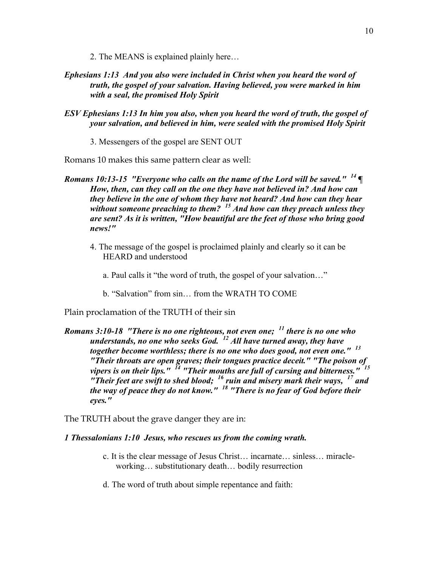2. The MEANS is explained plainly here…

- *Ephesians 1:13 And you also were included in Christ when you heard the word of truth, the gospel of your salvation. Having believed, you were marked in him with a seal, the promised Holy Spirit*
- *ESV Ephesians 1:13 In him you also, when you heard the word of truth, the gospel of your salvation, and believed in him, were sealed with the promised Holy Spirit*

3. Messengers of the gospel are SENT OUT

Romans 10 makes this same pattern clear as well:

- *Romans 10:13-15 "Everyone who calls on the name of the Lord will be saved." <sup>14</sup> ¶ How, then, can they call on the one they have not believed in? And how can they believe in the one of whom they have not heard? And how can they hear without someone preaching to them? <sup>15</sup> And how can they preach unless they are sent? As it is written, "How beautiful are the feet of those who bring good news!"*
	- 4. The message of the gospel is proclaimed plainly and clearly so it can be HEARD and understood
		- a. Paul calls it "the word of truth, the gospel of your salvation…"
		- b. "Salvation" from sin… from the WRATH TO COME

Plain proclamation of the TRUTH of their sin

*Romans 3:10-18 "There is no one righteous, not even one; <sup>11</sup> there is no one who understands, no one who seeks God. <sup>12</sup> All have turned away, they have together become worthless; there is no one who does good, not even one." <sup>13</sup> "Their throats are open graves; their tongues practice deceit." "The poison of vipers is on their lips." <sup>14</sup> "Their mouths are full of cursing and bitterness." <sup>15</sup> "Their feet are swift to shed blood; <sup>16</sup> ruin and misery mark their ways, <sup>17</sup> and the way of peace they do not know." <sup>18</sup> "There is no fear of God before their eyes."*

The TRUTH about the grave danger they are in:

#### *1 Thessalonians 1:10 Jesus, who rescues us from the coming wrath.*

- c. It is the clear message of Jesus Christ… incarnate… sinless… miracleworking… substitutionary death… bodily resurrection
- d. The word of truth about simple repentance and faith: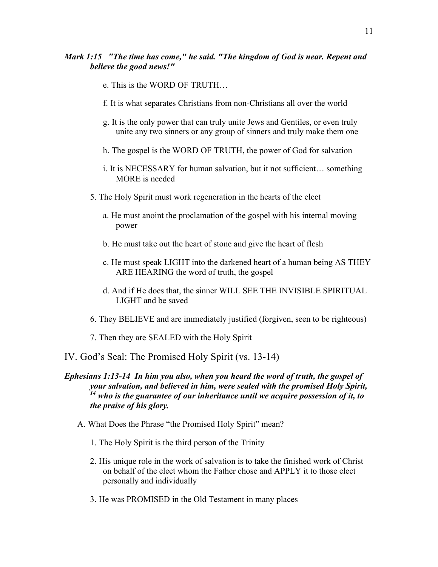# *Mark 1:15 "The time has come," he said. "The kingdom of God is near. Repent and believe the good news!"*

- e. This is the WORD OF TRUTH…
- f. It is what separates Christians from non-Christians all over the world
- g. It is the only power that can truly unite Jews and Gentiles, or even truly unite any two sinners or any group of sinners and truly make them one
- h. The gospel is the WORD OF TRUTH, the power of God for salvation
- i. It is NECESSARY for human salvation, but it not sufficient… something MORE is needed
- 5. The Holy Spirit must work regeneration in the hearts of the elect
	- a. He must anoint the proclamation of the gospel with his internal moving power
	- b. He must take out the heart of stone and give the heart of flesh
	- c. He must speak LIGHT into the darkened heart of a human being AS THEY ARE HEARING the word of truth, the gospel
	- d. And if He does that, the sinner WILL SEE THE INVISIBLE SPIRITUAL LIGHT and be saved
- 6. They BELIEVE and are immediately justified (forgiven, seen to be righteous)
- 7. Then they are SEALED with the Holy Spirit
- IV. God's Seal: The Promised Holy Spirit (vs. 13-14)

# *Ephesians 1:13-14 In him you also, when you heard the word of truth, the gospel of your salvation, and believed in him, were sealed with the promised Holy Spirit, <sup>14</sup> who is the guarantee of our inheritance until we acquire possession of it, to the praise of his glory.*

- A. What Does the Phrase "the Promised Holy Spirit" mean?
	- 1. The Holy Spirit is the third person of the Trinity
	- 2. His unique role in the work of salvation is to take the finished work of Christ on behalf of the elect whom the Father chose and APPLY it to those elect personally and individually
	- 3. He was PROMISED in the Old Testament in many places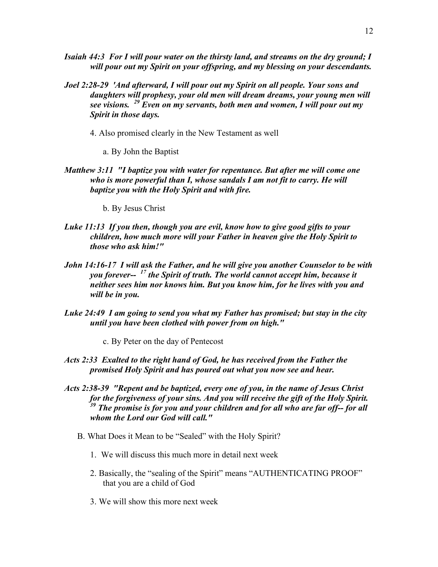- *Isaiah 44:3 For I will pour water on the thirsty land, and streams on the dry ground; I will pour out my Spirit on your offspring, and my blessing on your descendants.*
- *Joel 2:28-29 'And afterward, I will pour out my Spirit on all people. Your sons and daughters will prophesy, your old men will dream dreams, your young men will see visions. <sup>29</sup> Even on my servants, both men and women, I will pour out my Spirit in those days.*
	- 4. Also promised clearly in the New Testament as well
		- a. By John the Baptist
- *Matthew 3:11 "I baptize you with water for repentance. But after me will come one who is more powerful than I, whose sandals I am not fit to carry. He will baptize you with the Holy Spirit and with fire.*
	- b. By Jesus Christ
- *Luke 11:13 If you then, though you are evil, know how to give good gifts to your children, how much more will your Father in heaven give the Holy Spirit to those who ask him!"*
- *John 14:16-17 I will ask the Father, and he will give you another Counselor to be with you forever-- <sup>17</sup> the Spirit of truth. The world cannot accept him, because it neither sees him nor knows him. But you know him, for he lives with you and will be in you.*
- *Luke 24:49 I am going to send you what my Father has promised; but stay in the city until you have been clothed with power from on high."*
	- c. By Peter on the day of Pentecost
- *Acts 2:33 Exalted to the right hand of God, he has received from the Father the promised Holy Spirit and has poured out what you now see and hear.*
- *Acts 2:38-39 "Repent and be baptized, every one of you, in the name of Jesus Christ for the forgiveness of your sins. And you will receive the gift of the Holy Spirit. <sup>39</sup> The promise is for you and your children and for all who are far off-- for all whom the Lord our God will call."*
	- B. What Does it Mean to be "Sealed" with the Holy Spirit?
		- 1. We will discuss this much more in detail next week
		- 2. Basically, the "sealing of the Spirit" means "AUTHENTICATING PROOF" that you are a child of God
		- 3. We will show this more next week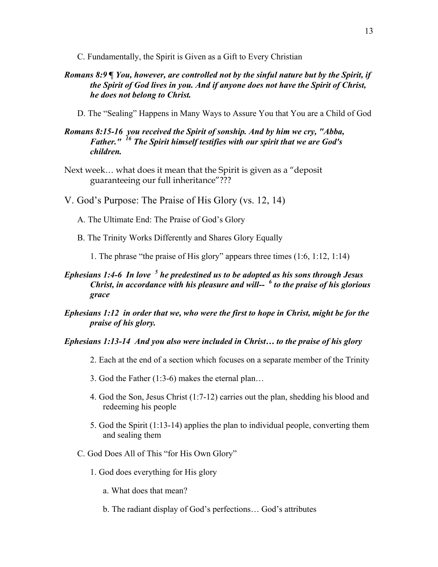- C. Fundamentally, the Spirit is Given as a Gift to Every Christian
- *Romans 8:9 ¶ You, however, are controlled not by the sinful nature but by the Spirit, if the Spirit of God lives in you. And if anyone does not have the Spirit of Christ, he does not belong to Christ.*
	- D. The "Sealing" Happens in Many Ways to Assure You that You are a Child of God

## *Romans 8:15-16 you received the Spirit of sonship. And by him we cry, "Abba, Father." <sup>16</sup> The Spirit himself testifies with our spirit that we are God's children.*

- Next week… what does it mean that the Spirit is given as a "deposit guaranteeing our full inheritance"???
- V. God's Purpose: The Praise of His Glory (vs. 12, 14)
	- A. The Ultimate End: The Praise of God's Glory
	- B. The Trinity Works Differently and Shares Glory Equally
		- 1. The phrase "the praise of His glory" appears three times (1:6, 1:12, 1:14)
- *Ephesians 1:4-6 In love <sup>5</sup> he predestined us to be adopted as his sons through Jesus Christ, in accordance with his pleasure and will-- <sup>6</sup> to the praise of his glorious grace*
- *Ephesians 1:12 in order that we, who were the first to hope in Christ, might be for the praise of his glory.*

### *Ephesians 1:13-14 And you also were included in Christ… to the praise of his glory*

- 2. Each at the end of a section which focuses on a separate member of the Trinity
- 3. God the Father (1:3-6) makes the eternal plan…
- 4. God the Son, Jesus Christ (1:7-12) carries out the plan, shedding his blood and redeeming his people
- 5. God the Spirit (1:13-14) applies the plan to individual people, converting them and sealing them
- C. God Does All of This "for His Own Glory"
	- 1. God does everything for His glory
		- a. What does that mean?
		- b. The radiant display of God's perfections… God's attributes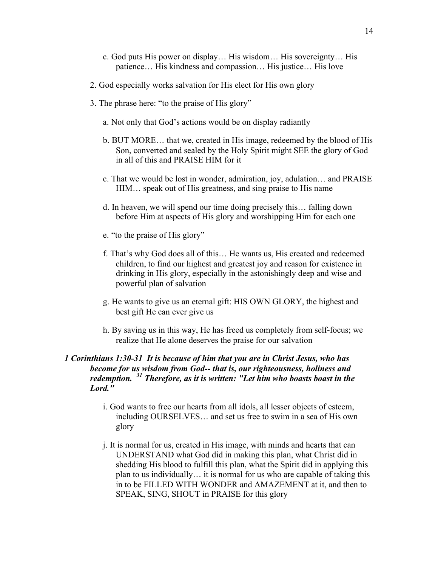- c. God puts His power on display… His wisdom… His sovereignty… His patience… His kindness and compassion… His justice… His love
- 2. God especially works salvation for His elect for His own glory
- 3. The phrase here: "to the praise of His glory"
	- a. Not only that God's actions would be on display radiantly
	- b. BUT MORE… that we, created in His image, redeemed by the blood of His Son, converted and sealed by the Holy Spirit might SEE the glory of God in all of this and PRAISE HIM for it
	- c. That we would be lost in wonder, admiration, joy, adulation… and PRAISE HIM… speak out of His greatness, and sing praise to His name
	- d. In heaven, we will spend our time doing precisely this… falling down before Him at aspects of His glory and worshipping Him for each one
	- e. "to the praise of His glory"
	- f. That's why God does all of this… He wants us, His created and redeemed children, to find our highest and greatest joy and reason for existence in drinking in His glory, especially in the astonishingly deep and wise and powerful plan of salvation
	- g. He wants to give us an eternal gift: HIS OWN GLORY, the highest and best gift He can ever give us
	- h. By saving us in this way, He has freed us completely from self-focus; we realize that He alone deserves the praise for our salvation

### *1 Corinthians 1:30-31 It is because of him that you are in Christ Jesus, who has become for us wisdom from God-- that is, our righteousness, holiness and redemption. <sup>31</sup> Therefore, as it is written: "Let him who boasts boast in the Lord."*

- i. God wants to free our hearts from all idols, all lesser objects of esteem, including OURSELVES… and set us free to swim in a sea of His own glory
- j. It is normal for us, created in His image, with minds and hearts that can UNDERSTAND what God did in making this plan, what Christ did in shedding His blood to fulfill this plan, what the Spirit did in applying this plan to us individually… it is normal for us who are capable of taking this in to be FILLED WITH WONDER and AMAZEMENT at it, and then to SPEAK, SING, SHOUT in PRAISE for this glory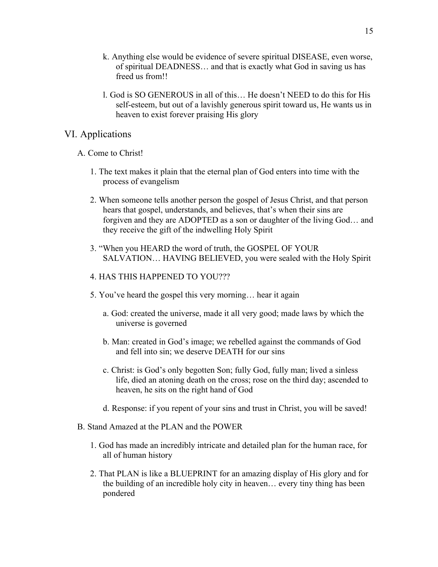- k. Anything else would be evidence of severe spiritual DISEASE, even worse, of spiritual DEADNESS… and that is exactly what God in saving us has freed us from!!
- l. God is SO GENEROUS in all of this… He doesn't NEED to do this for His self-esteem, but out of a lavishly generous spirit toward us, He wants us in heaven to exist forever praising His glory

# VI. Applications

### A. Come to Christ!

- 1. The text makes it plain that the eternal plan of God enters into time with the process of evangelism
- 2. When someone tells another person the gospel of Jesus Christ, and that person hears that gospel, understands, and believes, that's when their sins are forgiven and they are ADOPTED as a son or daughter of the living God… and they receive the gift of the indwelling Holy Spirit
- 3. "When you HEARD the word of truth, the GOSPEL OF YOUR SALVATION… HAVING BELIEVED, you were sealed with the Holy Spirit

### 4. HAS THIS HAPPENED TO YOU???

- 5. You've heard the gospel this very morning… hear it again
	- a. God: created the universe, made it all very good; made laws by which the universe is governed
	- b. Man: created in God's image; we rebelled against the commands of God and fell into sin; we deserve DEATH for our sins
	- c. Christ: is God's only begotten Son; fully God, fully man; lived a sinless life, died an atoning death on the cross; rose on the third day; ascended to heaven, he sits on the right hand of God
	- d. Response: if you repent of your sins and trust in Christ, you will be saved!
- B. Stand Amazed at the PLAN and the POWER
	- 1. God has made an incredibly intricate and detailed plan for the human race, for all of human history
	- 2. That PLAN is like a BLUEPRINT for an amazing display of His glory and for the building of an incredible holy city in heaven… every tiny thing has been pondered